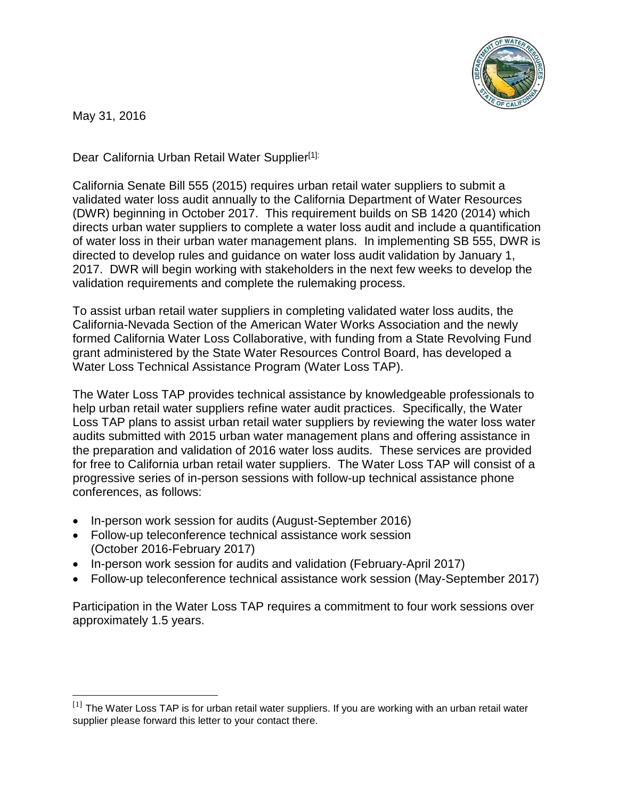

May 31, 2016

 $\overline{\phantom{a}}$ 

Dear California Urban Retail Water Supplier<sup>[1]:</sup>

California Senate Bill 555 (2015) requires urban retail water suppliers to submit a validated water loss audit annually to the California Department of Water Resources (DWR) beginning in October 2017. This requirement builds on SB 1420 (2014) which directs urban water suppliers to complete a water loss audit and include a quantification of water loss in their urban water management plans. In implementing SB 555, DWR is directed to develop rules and guidance on water loss audit validation by January 1, 2017. DWR will begin working with stakeholders in the next few weeks to develop the validation requirements and complete the rulemaking process.

To assist urban retail water suppliers in completing validated water loss audits, the California-Nevada Section of the American Water Works Association and the newly formed California Water Loss Collaborative, with funding from a State Revolving Fund grant administered by the State Water Resources Control Board, has developed a Water Loss Technical Assistance Program (Water Loss TAP).

The Water Loss TAP provides technical assistance by knowledgeable professionals to help urban retail water suppliers refine water audit practices. Specifically, the Water Loss TAP plans to assist urban retail water suppliers by reviewing the water loss water audits submitted with 2015 urban water management plans and offering assistance in the preparation and validation of 2016 water loss audits. These services are provided for free to California urban retail water suppliers. The Water Loss TAP will consist of a progressive series of in-person sessions with follow-up technical assistance phone conferences, as follows:

- In-person work session for audits (August-September 2016)
- Follow-up teleconference technical assistance work session (October 2016-February 2017)
- In-person work session for audits and validation (February-April 2017)
- Follow-up teleconference technical assistance work session (May-September 2017)

Participation in the Water Loss TAP requires a commitment to four work sessions over approximately 1.5 years.

 $[1]$  The Water Loss TAP is for urban retail water suppliers. If you are working with an urban retail water supplier please forward this letter to your contact there.